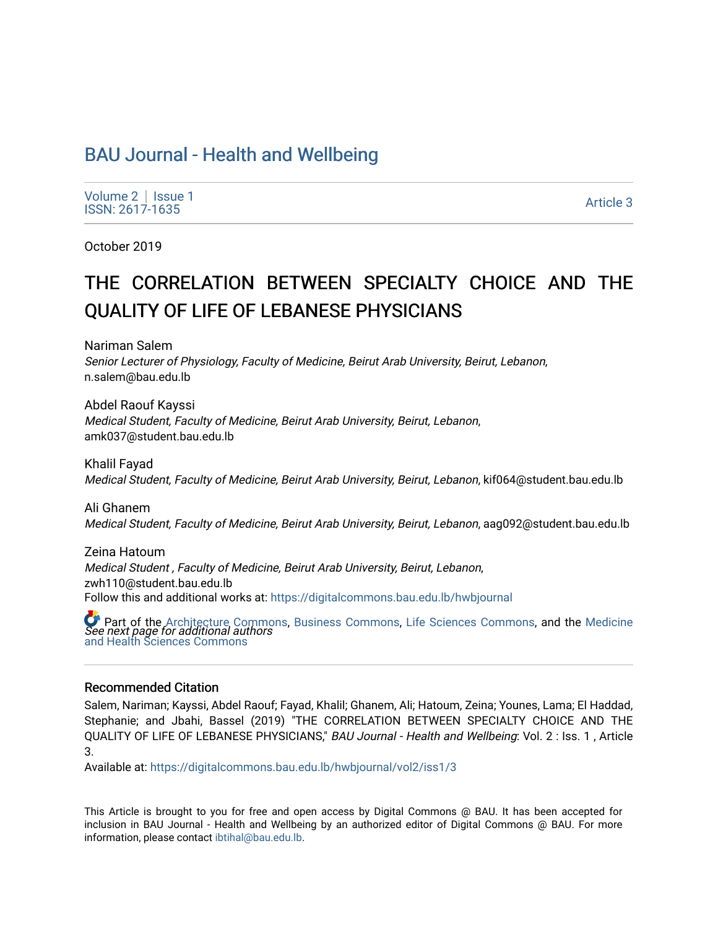# [BAU Journal - Health and Wellbeing](https://digitalcommons.bau.edu.lb/hwbjournal)

[Volume 2](https://digitalcommons.bau.edu.lb/hwbjournal/vol2) | Issue 1  $\frac{1}{15}$ SSN: 2617-1635 Article 3

October 2019

# THE CORRELATION BETWEEN SPECIALTY CHOICE AND THE QUALITY OF LIFE OF LEBANESE PHYSICIANS

Nariman Salem Senior Lecturer of Physiology, Faculty of Medicine, Beirut Arab University, Beirut, Lebanon, n.salem@bau.edu.lb

Abdel Raouf Kayssi Medical Student, Faculty of Medicine, Beirut Arab University, Beirut, Lebanon, amk037@student.bau.edu.lb

Khalil Fayad Medical Student, Faculty of Medicine, Beirut Arab University, Beirut, Lebanon, kif064@student.bau.edu.lb

Ali Ghanem Medical Student, Faculty of Medicine, Beirut Arab University, Beirut, Lebanon, aag092@student.bau.edu.lb

Zeina Hatoum Medical Student , Faculty of Medicine, Beirut Arab University, Beirut, Lebanon, zwh110@student.bau.edu.lb Follow this and additional works at: [https://digitalcommons.bau.edu.lb/hwbjournal](https://digitalcommons.bau.edu.lb/hwbjournal?utm_source=digitalcommons.bau.edu.lb%2Fhwbjournal%2Fvol2%2Fiss1%2F3&utm_medium=PDF&utm_campaign=PDFCoverPages)

**C** Part of the [Architecture Commons](http://network.bepress.com/hgg/discipline/773?utm_source=digitalcommons.bau.edu.lb%2Fhwbjournal%2Fvol2%2Fiss1%2F3&utm_medium=PDF&utm_campaign=PDFCoverPages), [Business Commons,](http://network.bepress.com/hgg/discipline/622?utm_source=digitalcommons.bau.edu.lb%2Fhwbjournal%2Fvol2%2Fiss1%2F3&utm_medium=PDF&utm_campaign=PDFCoverPages) [Life Sciences Commons](http://network.bepress.com/hgg/discipline/1016?utm_source=digitalcommons.bau.edu.lb%2Fhwbjournal%2Fvol2%2Fiss1%2F3&utm_medium=PDF&utm_campaign=PDFCoverPages), and the Medicine<br>See next page for additional authors [and Health Sciences Commons](http://network.bepress.com/hgg/discipline/648?utm_source=digitalcommons.bau.edu.lb%2Fhwbjournal%2Fvol2%2Fiss1%2F3&utm_medium=PDF&utm_campaign=PDFCoverPages)

#### Recommended Citation

Salem, Nariman; Kayssi, Abdel Raouf; Fayad, Khalil; Ghanem, Ali; Hatoum, Zeina; Younes, Lama; El Haddad, Stephanie; and Jbahi, Bassel (2019) "THE CORRELATION BETWEEN SPECIALTY CHOICE AND THE QUALITY OF LIFE OF LEBANESE PHYSICIANS," BAU Journal - Health and Wellbeing: Vol. 2 : Iss. 1 , Article 3.

Available at: [https://digitalcommons.bau.edu.lb/hwbjournal/vol2/iss1/3](https://digitalcommons.bau.edu.lb/hwbjournal/vol2/iss1/3?utm_source=digitalcommons.bau.edu.lb%2Fhwbjournal%2Fvol2%2Fiss1%2F3&utm_medium=PDF&utm_campaign=PDFCoverPages) 

This Article is brought to you for free and open access by Digital Commons @ BAU. It has been accepted for inclusion in BAU Journal - Health and Wellbeing by an authorized editor of Digital Commons @ BAU. For more information, please contact [ibtihal@bau.edu.lb.](mailto:ibtihal@bau.edu.lb)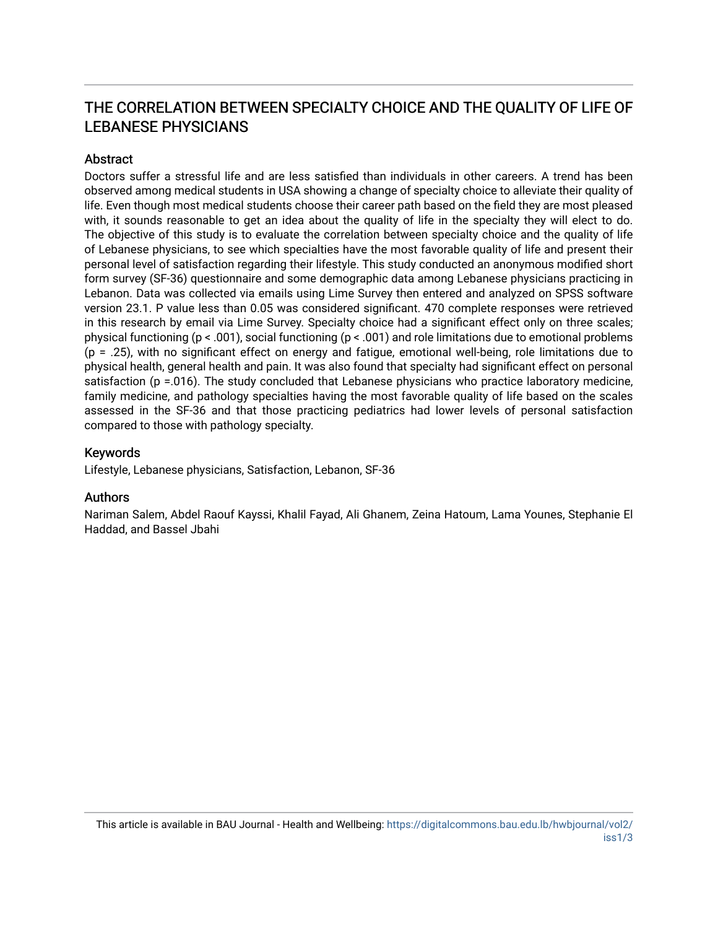# THE CORRELATION BETWEEN SPECIALTY CHOICE AND THE QUALITY OF LIFE OF LEBANESE PHYSICIANS

# **Abstract**

Doctors suffer a stressful life and are less satisfied than individuals in other careers. A trend has been observed among medical students in USA showing a change of specialty choice to alleviate their quality of life. Even though most medical students choose their career path based on the field they are most pleased with, it sounds reasonable to get an idea about the quality of life in the specialty they will elect to do. The objective of this study is to evaluate the correlation between specialty choice and the quality of life of Lebanese physicians, to see which specialties have the most favorable quality of life and present their personal level of satisfaction regarding their lifestyle. This study conducted an anonymous modified short form survey (SF-36) questionnaire and some demographic data among Lebanese physicians practicing in Lebanon. Data was collected via emails using Lime Survey then entered and analyzed on SPSS software version 23.1. P value less than 0.05 was considered significant. 470 complete responses were retrieved in this research by email via Lime Survey. Specialty choice had a significant effect only on three scales; physical functioning (p < .001), social functioning (p < .001) and role limitations due to emotional problems  $(p = .25)$ , with no significant effect on energy and fatigue, emotional well-being, role limitations due to physical health, general health and pain. It was also found that specialty had significant effect on personal satisfaction (p =.016). The study concluded that Lebanese physicians who practice laboratory medicine, family medicine, and pathology specialties having the most favorable quality of life based on the scales assessed in the SF-36 and that those practicing pediatrics had lower levels of personal satisfaction compared to those with pathology specialty.

# Keywords

Lifestyle, Lebanese physicians, Satisfaction, Lebanon, SF-36

# Authors

Nariman Salem, Abdel Raouf Kayssi, Khalil Fayad, Ali Ghanem, Zeina Hatoum, Lama Younes, Stephanie El Haddad, and Bassel Jbahi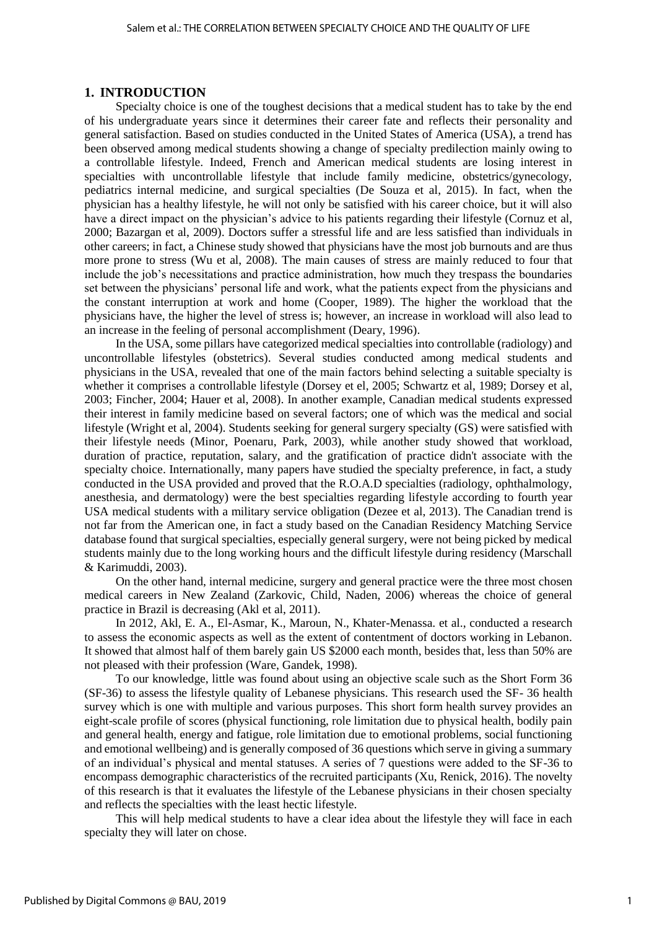#### **1. INTRODUCTION**

Specialty choice is one of the toughest decisions that a medical student has to take by the end of his undergraduate years since it determines their career fate and reflects their personality and general satisfaction. Based on studies conducted in the United States of America (USA), a trend has been observed among medical students showing a change of specialty predilection mainly owing to a controllable lifestyle. Indeed, French and American medical students are losing interest in specialties with uncontrollable lifestyle that include family medicine, obstetrics/gynecology, pediatrics internal medicine, and surgical specialties (De Souza et al, 2015). In fact, when the physician has a healthy lifestyle, he will not only be satisfied with his career choice, but it will also have a direct impact on the physician's advice to his patients regarding their lifestyle (Cornuz et al, 2000; Bazargan et al, 2009). Doctors suffer a stressful life and are less satisfied than individuals in other careers; in fact, a Chinese study showed that physicians have the most job burnouts and are thus more prone to stress (Wu et al, 2008). The main causes of stress are mainly reduced to four that include the job's necessitations and practice administration, how much they trespass the boundaries set between the physicians' personal life and work, what the patients expect from the physicians and the constant interruption at work and home (Cooper, 1989). The higher the workload that the physicians have, the higher the level of stress is; however, an increase in workload will also lead to an increase in the feeling of personal accomplishment (Deary, 1996).

In the USA, some pillars have categorized medical specialties into controllable (radiology) and uncontrollable lifestyles (obstetrics). Several studies conducted among medical students and physicians in the USA, revealed that one of the main factors behind selecting a suitable specialty is whether it comprises a controllable lifestyle (Dorsey et el, 2005; Schwartz et al, 1989; Dorsey et al, 2003; Fincher, 2004; Hauer et al, 2008). In another example, Canadian medical students expressed their interest in family medicine based on several factors; one of which was the medical and social lifestyle (Wright et al, 2004). Students seeking for general surgery specialty (GS) were satisfied with their lifestyle needs (Minor, Poenaru, Park, 2003), while another study showed that workload, duration of practice, reputation, salary, and the gratification of practice didn't associate with the specialty choice. Internationally, many papers have studied the specialty preference, in fact, a study conducted in the USA provided and proved that the R.O.A.D specialties (radiology, ophthalmology, anesthesia, and dermatology) were the best specialties regarding lifestyle according to fourth year USA medical students with a military service obligation (Dezee et al, 2013). The Canadian trend is not far from the American one, in fact a study based on the Canadian Residency Matching Service database found that surgical specialties, especially general surgery, were not being picked by medical students mainly due to the long working hours and the difficult lifestyle during residency (Marschall & Karimuddi, 2003).

On the other hand, internal medicine, surgery and general practice were the three most chosen medical careers in New Zealand (Zarkovic, Child, Naden, 2006) whereas the choice of general practice in Brazil is decreasing (Akl et al, 2011).

In 2012, Akl, E. A., El-Asmar, K., Maroun, N., Khater-Menassa. et al., conducted a research to assess the economic aspects as well as the extent of contentment of doctors working in Lebanon. It showed that almost half of them barely gain US \$2000 each month, besides that, less than 50% are not pleased with their profession (Ware, Gandek, 1998).

To our knowledge, little was found about using an objective scale such as the Short Form 36 (SF-36) to assess the lifestyle quality of Lebanese physicians. This research used the SF- 36 health survey which is one with multiple and various purposes. This short form health survey provides an eight-scale profile of scores (physical functioning, role limitation due to physical health, bodily pain and general health, energy and fatigue, role limitation due to emotional problems, social functioning and emotional wellbeing) and is generally composed of 36 questions which serve in giving a summary of an individual's physical and mental statuses. A series of 7 questions were added to the SF-36 to encompass demographic characteristics of the recruited participants (Xu, Renick, 2016). The novelty of this research is that it evaluates the lifestyle of the Lebanese physicians in their chosen specialty and reflects the specialties with the least hectic lifestyle.

This will help medical students to have a clear idea about the lifestyle they will face in each specialty they will later on chose.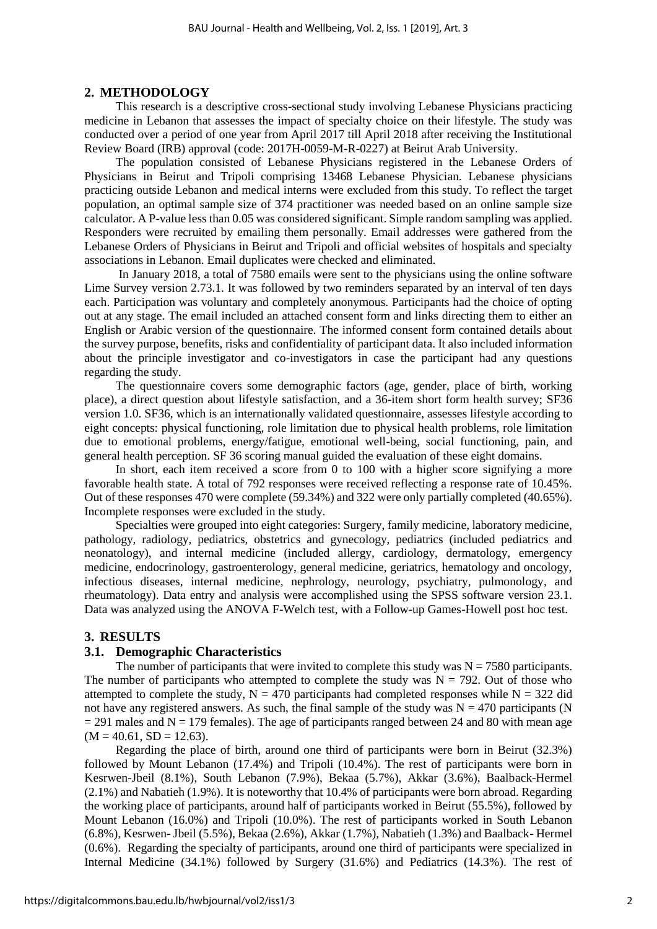#### **2. METHODOLOGY**

This research is a descriptive cross-sectional study involving Lebanese Physicians practicing medicine in Lebanon that assesses the impact of specialty choice on their lifestyle. The study was conducted over a period of one year from April 2017 till April 2018 after receiving the Institutional Review Board (IRB) approval (code: 2017H-0059-M-R-0227) at Beirut Arab University.

The population consisted of Lebanese Physicians registered in the Lebanese Orders of Physicians in Beirut and Tripoli comprising 13468 Lebanese Physician. Lebanese physicians practicing outside Lebanon and medical interns were excluded from this study. To reflect the target population, an optimal sample size of 374 practitioner was needed based on an online sample size calculator. A P-value less than 0.05 was considered significant. Simple random sampling was applied. Responders were recruited by emailing them personally. Email addresses were gathered from the Lebanese Orders of Physicians in Beirut and Tripoli and official websites of hospitals and specialty associations in Lebanon. Email duplicates were checked and eliminated.

In January 2018, a total of 7580 emails were sent to the physicians using the online software Lime Survey version 2.73.1. It was followed by two reminders separated by an interval of ten days each. Participation was voluntary and completely anonymous. Participants had the choice of opting out at any stage. The email included an attached consent form and links directing them to either an English or Arabic version of the questionnaire. The informed consent form contained details about the survey purpose, benefits, risks and confidentiality of participant data. It also included information about the principle investigator and co-investigators in case the participant had any questions regarding the study.

The questionnaire covers some demographic factors (age, gender, place of birth, working place), a direct question about lifestyle satisfaction, and a 36-item short form health survey; SF36 version 1.0. SF36, which is an internationally validated questionnaire, assesses lifestyle according to eight concepts: physical functioning, role limitation due to physical health problems, role limitation due to emotional problems, energy/fatigue, emotional well-being, social functioning, pain, and general health perception. SF 36 scoring manual guided the evaluation of these eight domains.

In short, each item received a score from 0 to 100 with a higher score signifying a more favorable health state. A total of 792 responses were received reflecting a response rate of 10.45%. Out of these responses 470 were complete (59.34%) and 322 were only partially completed (40.65%). Incomplete responses were excluded in the study.

Specialties were grouped into eight categories: Surgery, family medicine, laboratory medicine, pathology, radiology, pediatrics, obstetrics and gynecology, pediatrics (included pediatrics and neonatology), and internal medicine (included allergy, cardiology, dermatology, emergency medicine, endocrinology, gastroenterology, general medicine, geriatrics, hematology and oncology, infectious diseases, internal medicine, nephrology, neurology, psychiatry, pulmonology, and rheumatology). Data entry and analysis were accomplished using the SPSS software version 23.1. Data was analyzed using the ANOVA F-Welch test, with a Follow-up Games-Howell post hoc test.

#### **3. RESULTS**

#### **3.1. Demographic Characteristics**

The number of participants that were invited to complete this study was  $N = 7580$  participants. The number of participants who attempted to complete the study was  $N = 792$ . Out of those who attempted to complete the study,  $N = 470$  participants had completed responses while  $N = 322$  did not have any registered answers. As such, the final sample of the study was  $N = 470$  participants (N  $= 291$  males and N  $= 179$  females). The age of participants ranged between 24 and 80 with mean age  $(M = 40.61, SD = 12.63).$ 

Regarding the place of birth, around one third of participants were born in Beirut (32.3%) followed by Mount Lebanon (17.4%) and Tripoli (10.4%). The rest of participants were born in Kesrwen-Jbeil (8.1%), South Lebanon (7.9%), Bekaa (5.7%), Akkar (3.6%), Baalback-Hermel (2.1%) and Nabatieh (1.9%). It is noteworthy that 10.4% of participants were born abroad. Regarding the working place of participants, around half of participants worked in Beirut (55.5%), followed by Mount Lebanon (16.0%) and Tripoli (10.0%). The rest of participants worked in South Lebanon (6.8%), Kesrwen- Jbeil (5.5%), Bekaa (2.6%), Akkar (1.7%), Nabatieh (1.3%) and Baalback- Hermel (0.6%). Regarding the specialty of participants, around one third of participants were specialized in Internal Medicine (34.1%) followed by Surgery (31.6%) and Pediatrics (14.3%). The rest of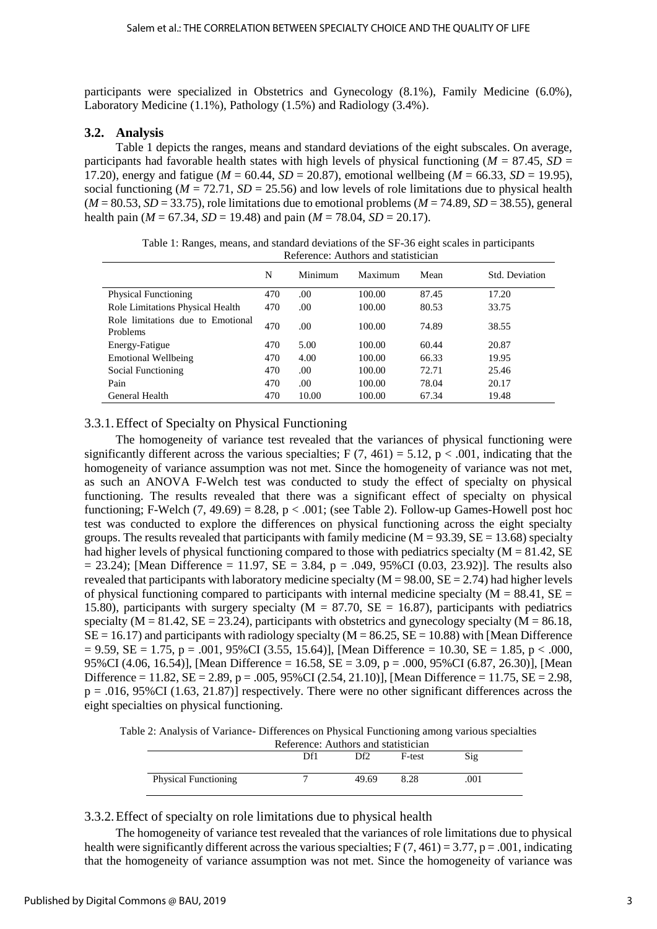participants were specialized in Obstetrics and Gynecology (8.1%), Family Medicine (6.0%), Laboratory Medicine (1.1%), Pathology (1.5%) and Radiology (3.4%).

# **3.2. Analysis**

Table 1 depicts the ranges, means and standard deviations of the eight subscales. On average, participants had favorable health states with high levels of physical functioning ( $M = 87.45$ ,  $SD =$ 17.20), energy and fatigue (*M* = 60.44, *SD* = 20.87), emotional wellbeing (*M* = 66.33, *SD* = 19.95), social functioning ( $M = 72.71$ ,  $SD = 25.56$ ) and low levels of role limitations due to physical health  $(M = 80.53, SD = 33.75)$ , role limitations due to emotional problems  $(M = 74.89, SD = 38.55)$ , general health pain ( $M = 67.34$ ,  $SD = 19.48$ ) and pain ( $M = 78.04$ ,  $SD = 20.17$ ).

Table 1: Ranges, means, and standard deviations of the SF-36 eight scales in participants Reference: Authors and statistician

|                                               | N   | Minimum | Maximum | Mean  | Std. Deviation |
|-----------------------------------------------|-----|---------|---------|-------|----------------|
| <b>Physical Functioning</b>                   | 470 | .00     | 100.00  | 87.45 | 17.20          |
| <b>Role Limitations Physical Health</b>       | 470 | .00     | 100.00  | 80.53 | 33.75          |
| Role limitations due to Emotional<br>Problems | 470 | .00     | 100.00  | 74.89 | 38.55          |
| Energy-Fatigue                                | 470 | 5.00    | 100.00  | 60.44 | 20.87          |
| <b>Emotional Wellbeing</b>                    | 470 | 4.00    | 100.00  | 66.33 | 19.95          |
| Social Functioning                            | 470 | .00     | 100.00  | 72.71 | 25.46          |
| Pain                                          | 470 | .00.    | 100.00  | 78.04 | 20.17          |
| General Health                                | 470 | 10.00   | 100.00  | 67.34 | 19.48          |

# 3.3.1.Effect of Specialty on Physical Functioning

The homogeneity of variance test revealed that the variances of physical functioning were significantly different across the various specialties;  $F(7, 461) = 5.12$ ,  $p < .001$ , indicating that the homogeneity of variance assumption was not met. Since the homogeneity of variance was not met, as such an ANOVA F-Welch test was conducted to study the effect of specialty on physical functioning. The results revealed that there was a significant effect of specialty on physical functioning; F-Welch  $(7, 49.69) = 8.28$ , p < .001; (see Table 2). Follow-up Games-Howell post hoc test was conducted to explore the differences on physical functioning across the eight specialty groups. The results revealed that participants with family medicine  $(M = 93.39, SE = 13.68)$  specialty had higher levels of physical functioning compared to those with pediatrics specialty ( $M = 81.42$ , SE  $= 23.24$ ); [Mean Difference  $= 11.97$ , SE  $= 3.84$ , p  $= .049$ , 95%CI (0.03, 23.92)]. The results also revealed that participants with laboratory medicine specialty  $(M = 98.00, SE = 2.74)$  had higher levels of physical functioning compared to participants with internal medicine specialty ( $M = 88.41$ ,  $SE =$ 15.80), participants with surgery specialty ( $M = 87.70$ ,  $SE = 16.87$ ), participants with pediatrics specialty ( $M = 81.42$ ,  $SE = 23.24$ ), participants with obstetrics and gynecology specialty ( $M = 86.18$ ,  $SE = 16.17$ ) and participants with radiology specialty ( $M = 86.25$ ,  $SE = 10.88$ ) with [Mean Difference  $= 9.59$ , SE = 1.75, p = .001, 95%CI (3.55, 15.64)], [Mean Difference = 10.30, SE = 1.85, p < .000, 95%CI (4.06, 16.54)], [Mean Difference = 16.58, SE = 3.09, p = .000, 95%CI (6.87, 26.30)], [Mean Difference = 11.82,  $SE = 2.89$ , p = .005, 95%CI (2.54, 21.10)], [Mean Difference = 11.75,  $SE = 2.98$ ,  $p = .016, 95\%$ CI (1.63, 21.87)] respectively. There were no other significant differences across the eight specialties on physical functioning.

Table 2: Analysis of Variance- Differences on Physical Functioning among various specialties

| Reference: Authors and statistician |     |                 |        |      |  |
|-------------------------------------|-----|-----------------|--------|------|--|
|                                     | Df1 | Df <sub>2</sub> | F-test | Sig  |  |
|                                     |     |                 |        |      |  |
| <b>Physical Functioning</b>         |     | 49.69           | 8.28   | .001 |  |

3.3.2.Effect of specialty on role limitations due to physical health

The homogeneity of variance test revealed that the variances of role limitations due to physical health were significantly different across the various specialties;  $F(7, 461) = 3.77$ ,  $p = .001$ , indicating that the homogeneity of variance assumption was not met. Since the homogeneity of variance was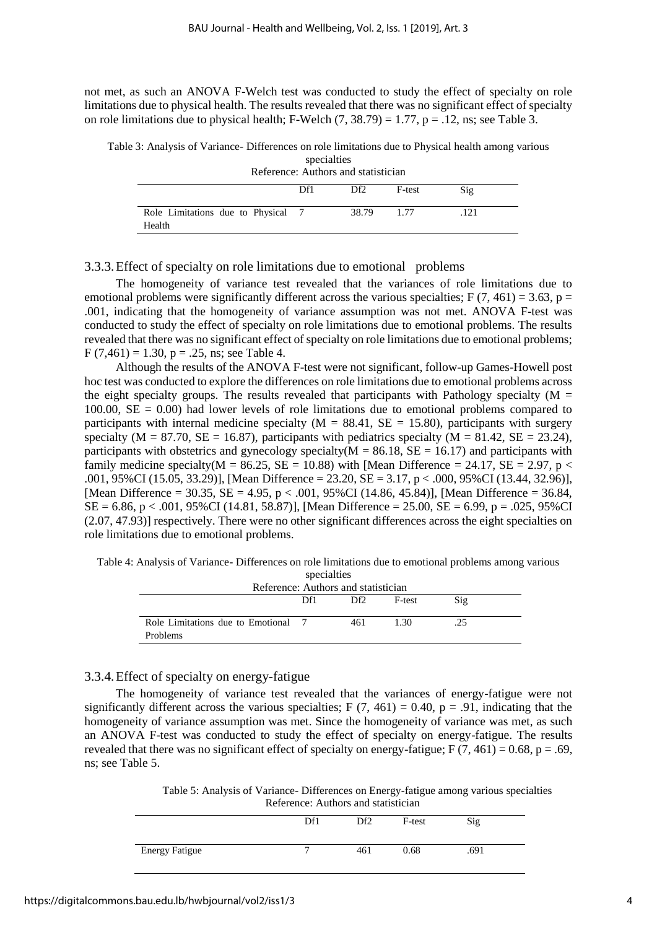not met, as such an ANOVA F-Welch test was conducted to study the effect of specialty on role limitations due to physical health. The results revealed that there was no significant effect of specialty on role limitations due to physical health; F-Welch  $(7, 38.79) = 1.77$ ,  $p = .12$ , ns; see Table 3.

Table 3: Analysis of Variance- Differences on role limitations due to Physical health among various specialties

| Reference: Authors and statistician |  |  |
|-------------------------------------|--|--|
|                                     |  |  |

|                                            | Df1 | Df2   | F-test | Sig |
|--------------------------------------------|-----|-------|--------|-----|
| Role Limitations due to Physical<br>Health |     | 38.79 |        |     |

3.3.3.Effect of specialty on role limitations due to emotional problems

The homogeneity of variance test revealed that the variances of role limitations due to emotional problems were significantly different across the various specialties; F (7, 461) = 3.63, p = .001, indicating that the homogeneity of variance assumption was not met. ANOVA F-test was conducted to study the effect of specialty on role limitations due to emotional problems. The results revealed that there was no significant effect of specialty on role limitations due to emotional problems;  $F(7,461) = 1.30$ ,  $p = .25$ , ns; see Table 4.

Although the results of the ANOVA F-test were not significant, follow-up Games-Howell post hoc test was conducted to explore the differences on role limitations due to emotional problems across the eight specialty groups. The results revealed that participants with Pathology specialty ( $M =$ 100.00,  $SE = 0.00$ ) had lower levels of role limitations due to emotional problems compared to participants with internal medicine specialty ( $M = 88.41$ ,  $SE = 15.80$ ), participants with surgery specialty ( $M = 87.70$ ,  $SE = 16.87$ ), participants with pediatrics specialty ( $M = 81.42$ ,  $SE = 23.24$ ), participants with obstetrics and gynecology specialty( $M = 86.18$ ,  $SE = 16.17$ ) and participants with family medicine specialty( $M = 86.25$ ,  $SE = 10.88$ ) with [Mean Difference = 24.17,  $SE = 2.97$ , p < .001,  $95\%$ CI (15.05, 33.29)], [Mean Difference = 23.20, SE = 3.17, p < .000,  $95\%$ CI (13.44, 32.96)], [Mean Difference = 30.35,  $SE = 4.95$ ,  $p < .001$ , 95%CI (14.86, 45.84)], [Mean Difference = 36.84,  $SE = 6.86$ ,  $p < .001$ , 95%CI (14.81, 58.87)], [Mean Difference = 25.00,  $SE = 6.99$ ,  $p = .025$ , 95%CI (2.07, 47.93)] respectively. There were no other significant differences across the eight specialties on role limitations due to emotional problems.

Table 4: Analysis of Variance- Differences on role limitations due to emotional problems among various specialties

| ----------<br>Reference: Authors and statistician |     |                 |        |                |  |
|---------------------------------------------------|-----|-----------------|--------|----------------|--|
|                                                   | Df1 | Df <sub>2</sub> | F-test | $\mathrm{Sig}$ |  |
| Role Limitations due to Emotional 7               |     | 461             | 1.30   | .25            |  |
| Problems                                          |     |                 |        |                |  |

# 3.3.4.Effect of specialty on energy-fatigue

The homogeneity of variance test revealed that the variances of energy-fatigue were not significantly different across the various specialties; F  $(7, 461) = 0.40$ , p = .91, indicating that the homogeneity of variance assumption was met. Since the homogeneity of variance was met, as such an ANOVA F-test was conducted to study the effect of specialty on energy-fatigue. The results revealed that there was no significant effect of specialty on energy-fatigue;  $F(7, 461) = 0.68$ ,  $p = .69$ , ns; see Table 5.

> Table 5: Analysis of Variance- Differences on Energy-fatigue among various specialties Reference: Authors and statistician

|                       | Df1          | Df <sub>2</sub> | F-test | Sig  |
|-----------------------|--------------|-----------------|--------|------|
| <b>Energy Fatigue</b> | $\mathbf{r}$ | 461             | 0.68   | .691 |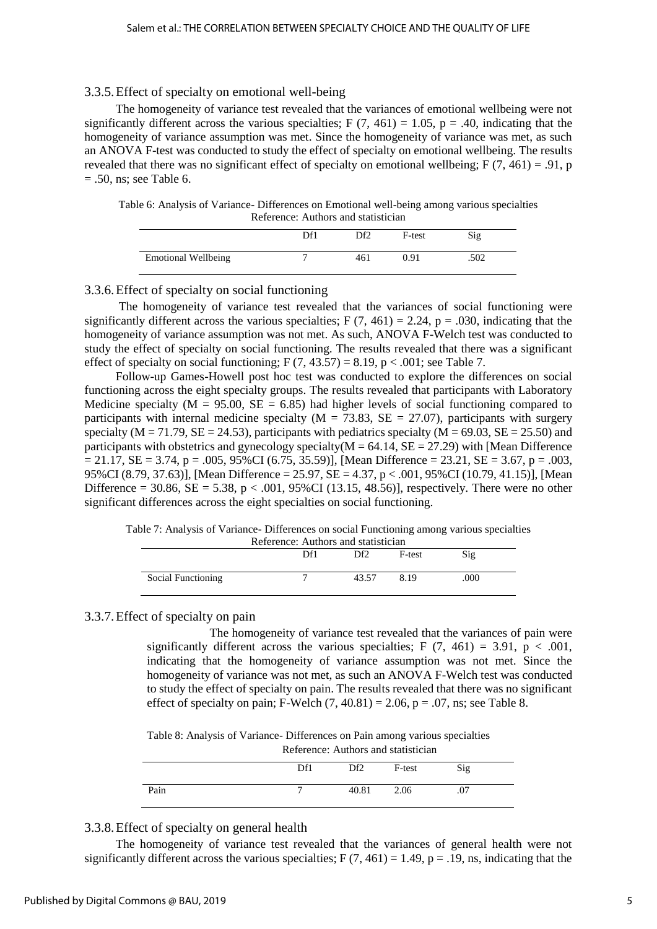#### 3.3.5.Effect of specialty on emotional well-being

The homogeneity of variance test revealed that the variances of emotional wellbeing were not significantly different across the various specialties; F  $(7, 461) = 1.05$ , p = .40, indicating that the homogeneity of variance assumption was met. Since the homogeneity of variance was met, as such an ANOVA F-test was conducted to study the effect of specialty on emotional wellbeing. The results revealed that there was no significant effect of specialty on emotional wellbeing; F (7, 461) = .91, p  $= .50$ , ns; see Table 6.

Table 6: Analysis of Variance- Differences on Emotional well-being among various specialties Reference: Authors and statistician

|                            | DF <sup>1</sup> | DĐ  | F-test | Sig  |  |
|----------------------------|-----------------|-----|--------|------|--|
| <b>Emotional Wellbeing</b> |                 | 461 | 0.91   | .502 |  |

#### 3.3.6.Effect of specialty on social functioning

The homogeneity of variance test revealed that the variances of social functioning were significantly different across the various specialties;  $F(7, 461) = 2.24$ ,  $p = .030$ , indicating that the homogeneity of variance assumption was not met. As such, ANOVA F-Welch test was conducted to study the effect of specialty on social functioning. The results revealed that there was a significant effect of specialty on social functioning;  $F(7, 43.57) = 8.19$ ,  $p < .001$ ; see Table 7.

Follow-up Games-Howell post hoc test was conducted to explore the differences on social functioning across the eight specialty groups. The results revealed that participants with Laboratory Medicine specialty ( $M = 95.00$ ,  $SE = 6.85$ ) had higher levels of social functioning compared to participants with internal medicine specialty ( $M = 73.83$ ,  $SE = 27.07$ ), participants with surgery specialty ( $M = 71.79$ ,  $SE = 24.53$ ), participants with pediatrics specialty ( $M = 69.03$ ,  $SE = 25.50$ ) and participants with obstetrics and gynecology specialty( $M = 64.14$ ,  $SE = 27.29$ ) with [Mean Difference  $= 21.17$ , SE = 3.74, p = .005, 95%CI (6.75, 35.59)], [Mean Difference = 23.21, SE = 3.67, p = .003, 95%CI (8.79, 37.63)], [Mean Difference = 25.97, SE = 4.37, p < .001, 95%CI (10.79, 41.15)], [Mean Difference = 30.86,  $SE = 5.38$ ,  $p < .001$ , 95%CI (13.15, 48.56)], respectively. There were no other significant differences across the eight specialties on social functioning.

Table 7: Analysis of Variance- Differences on social Functioning among various specialties

| Reference: Authors and statistician |     |       |        |      |  |
|-------------------------------------|-----|-------|--------|------|--|
|                                     | Df1 | Df2   | F-test | Sig  |  |
| Social Functioning                  |     | 43.57 | 8.19   | .000 |  |

#### 3.3.7.Effect of specialty on pain

The homogeneity of variance test revealed that the variances of pain were significantly different across the various specialties; F  $(7, 461) = 3.91$ , p < .001, indicating that the homogeneity of variance assumption was not met. Since the homogeneity of variance was not met, as such an ANOVA F-Welch test was conducted to study the effect of specialty on pain. The results revealed that there was no significant effect of specialty on pain; F-Welch  $(7, 40.81) = 2.06$ , p = .07, ns; see Table 8.

Table 8: Analysis of Variance- Differences on Pain among various specialties

|     |    | Reference: Authors and statistician |  |
|-----|----|-------------------------------------|--|
| Df1 | DŁ | E-test                              |  |

|      | Df1          | Df2 | F-test | Sig |
|------|--------------|-----|--------|-----|
| Pain | 7 40.81 2.06 |     |        | .07 |

# 3.3.8.Effect of specialty on general health

The homogeneity of variance test revealed that the variances of general health were not significantly different across the various specialties;  $F(7, 461) = 1.49$ ,  $p = .19$ , ns, indicating that the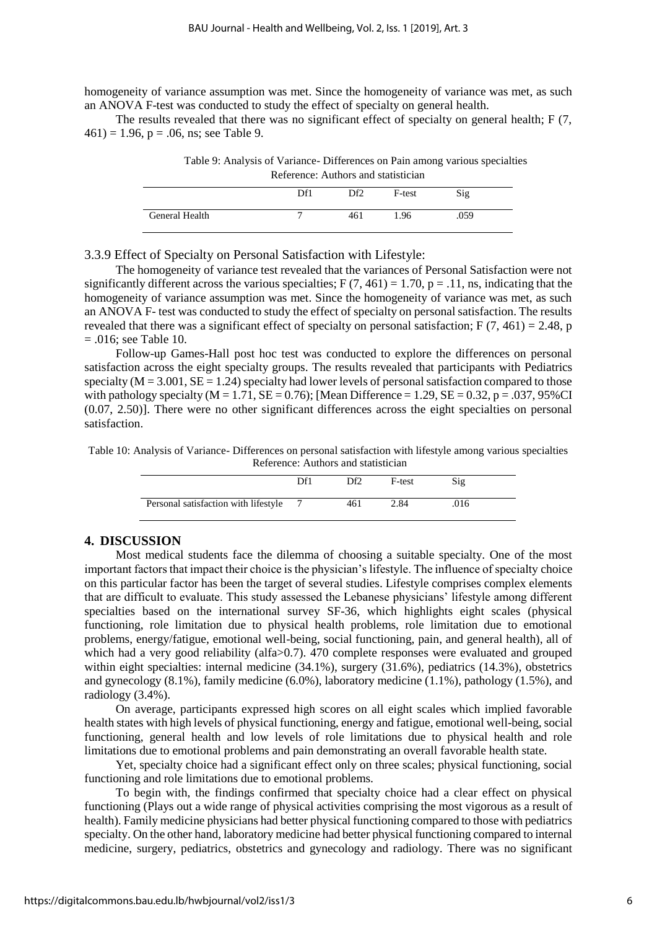homogeneity of variance assumption was met. Since the homogeneity of variance was met, as such an ANOVA F-test was conducted to study the effect of specialty on general health.

The results revealed that there was no significant effect of specialty on general health; F (7,  $461$ ) = 1.96, p = .06, ns; see Table 9.

| Table 9: Analysis of Variance-Differences on Pain among various specialties |
|-----------------------------------------------------------------------------|
| Reference: Authors and statistician                                         |

|                | Df1 | Df2 | F-test | Sig  |
|----------------|-----|-----|--------|------|
| General Health |     | 461 | 1.96   | .059 |

3.3.9 Effect of Specialty on Personal Satisfaction with Lifestyle:

The homogeneity of variance test revealed that the variances of Personal Satisfaction were not significantly different across the various specialties;  $F(7, 461) = 1.70$ ,  $p = .11$ , ns, indicating that the homogeneity of variance assumption was met. Since the homogeneity of variance was met, as such an ANOVA F- test was conducted to study the effect of specialty on personal satisfaction. The results revealed that there was a significant effect of specialty on personal satisfaction; F  $(7, 461) = 2.48$ , p  $= .016$ ; see Table 10.

Follow-up Games-Hall post hoc test was conducted to explore the differences on personal satisfaction across the eight specialty groups. The results revealed that participants with Pediatrics specialty ( $M = 3.001$ ,  $SE = 1.24$ ) specialty had lower levels of personal satisfaction compared to those with pathology specialty  $(M = 1.71, SE = 0.76)$ ; [Mean Difference = 1.29,  $SE = 0.32$ , p = .037, 95%CI (0.07, 2.50)]. There were no other significant differences across the eight specialties on personal satisfaction.

Table 10: Analysis of Variance- Differences on personal satisfaction with lifestyle among various specialties Reference: Authors and statistician

|                                      | Df1 | Df <sub>2</sub> | F-test | Sig |
|--------------------------------------|-----|-----------------|--------|-----|
| Personal satisfaction with lifestyle |     | 461             | 2.84   | 016 |

# **4. DISCUSSION**

Most medical students face the dilemma of choosing a suitable specialty. One of the most important factors that impact their choice is the physician's lifestyle. The influence of specialty choice on this particular factor has been the target of several studies. Lifestyle comprises complex elements that are difficult to evaluate. This study assessed the Lebanese physicians' lifestyle among different specialties based on the international survey SF-36, which highlights eight scales (physical functioning, role limitation due to physical health problems, role limitation due to emotional problems, energy/fatigue, emotional well-being, social functioning, pain, and general health), all of which had a very good reliability (alfa $> 0.7$ ). 470 complete responses were evaluated and grouped within eight specialties: internal medicine (34.1%), surgery (31.6%), pediatrics (14.3%), obstetrics and gynecology (8.1%), family medicine (6.0%), laboratory medicine (1.1%), pathology (1.5%), and radiology (3.4%).

On average, participants expressed high scores on all eight scales which implied favorable health states with high levels of physical functioning, energy and fatigue, emotional well-being, social functioning, general health and low levels of role limitations due to physical health and role limitations due to emotional problems and pain demonstrating an overall favorable health state.

Yet, specialty choice had a significant effect only on three scales; physical functioning, social functioning and role limitations due to emotional problems.

To begin with, the findings confirmed that specialty choice had a clear effect on physical functioning (Plays out a wide range of physical activities comprising the most vigorous as a result of health). Family medicine physicians had better physical functioning compared to those with pediatrics specialty. On the other hand, laboratory medicine had better physical functioning compared to internal medicine, surgery, pediatrics, obstetrics and gynecology and radiology. There was no significant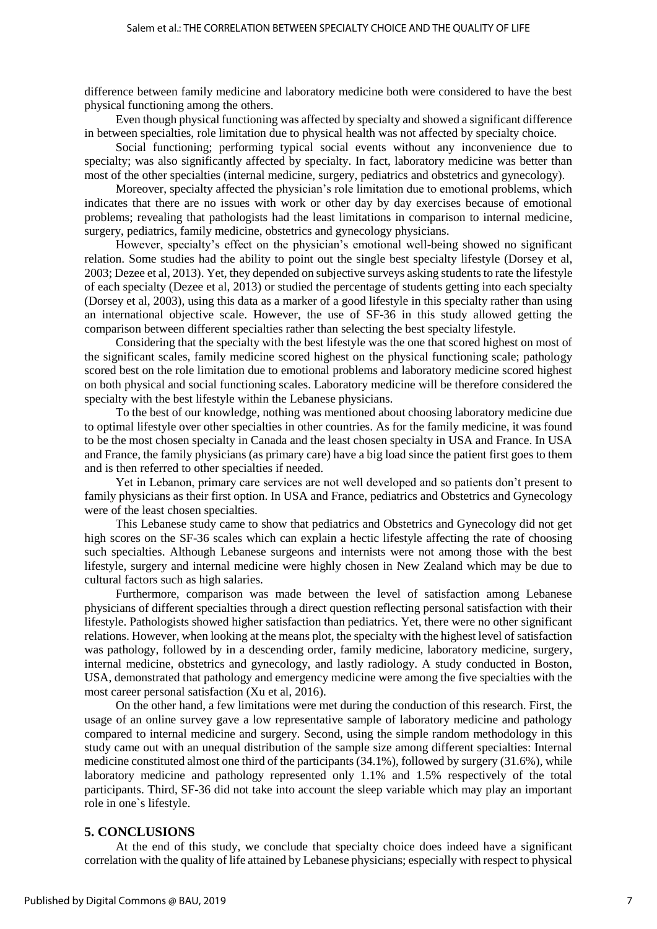difference between family medicine and laboratory medicine both were considered to have the best physical functioning among the others.

Even though physical functioning was affected by specialty and showed a significant difference in between specialties, role limitation due to physical health was not affected by specialty choice.

Social functioning; performing typical social events without any inconvenience due to specialty; was also significantly affected by specialty. In fact, laboratory medicine was better than most of the other specialties (internal medicine, surgery, pediatrics and obstetrics and gynecology).

Moreover, specialty affected the physician's role limitation due to emotional problems, which indicates that there are no issues with work or other day by day exercises because of emotional problems; revealing that pathologists had the least limitations in comparison to internal medicine, surgery, pediatrics, family medicine, obstetrics and gynecology physicians.

However, specialty's effect on the physician's emotional well-being showed no significant relation. Some studies had the ability to point out the single best specialty lifestyle (Dorsey et al, 2003; Dezee et al, 2013). Yet, they depended on subjective surveys asking students to rate the lifestyle of each specialty (Dezee et al, 2013) or studied the percentage of students getting into each specialty (Dorsey et al, 2003), using this data as a marker of a good lifestyle in this specialty rather than using an international objective scale. However, the use of SF-36 in this study allowed getting the comparison between different specialties rather than selecting the best specialty lifestyle.

Considering that the specialty with the best lifestyle was the one that scored highest on most of the significant scales, family medicine scored highest on the physical functioning scale; pathology scored best on the role limitation due to emotional problems and laboratory medicine scored highest on both physical and social functioning scales. Laboratory medicine will be therefore considered the specialty with the best lifestyle within the Lebanese physicians.

To the best of our knowledge, nothing was mentioned about choosing laboratory medicine due to optimal lifestyle over other specialties in other countries. As for the family medicine, it was found to be the most chosen specialty in Canada and the least chosen specialty in USA and France. In USA and France, the family physicians (as primary care) have a big load since the patient first goes to them and is then referred to other specialties if needed.

Yet in Lebanon, primary care services are not well developed and so patients don't present to family physicians as their first option. In USA and France, pediatrics and Obstetrics and Gynecology were of the least chosen specialties.

This Lebanese study came to show that pediatrics and Obstetrics and Gynecology did not get high scores on the SF-36 scales which can explain a hectic lifestyle affecting the rate of choosing such specialties. Although Lebanese surgeons and internists were not among those with the best lifestyle, surgery and internal medicine were highly chosen in New Zealand which may be due to cultural factors such as high salaries.

Furthermore, comparison was made between the level of satisfaction among Lebanese physicians of different specialties through a direct question reflecting personal satisfaction with their lifestyle. Pathologists showed higher satisfaction than pediatrics. Yet, there were no other significant relations. However, when looking at the means plot, the specialty with the highest level of satisfaction was pathology, followed by in a descending order, family medicine, laboratory medicine, surgery, internal medicine, obstetrics and gynecology, and lastly radiology. A study conducted in Boston, USA, demonstrated that pathology and emergency medicine were among the five specialties with the most career personal satisfaction (Xu et al, 2016).

On the other hand, a few limitations were met during the conduction of this research. First, the usage of an online survey gave a low representative sample of laboratory medicine and pathology compared to internal medicine and surgery. Second, using the simple random methodology in this study came out with an unequal distribution of the sample size among different specialties: Internal medicine constituted almost one third of the participants (34.1%), followed by surgery (31.6%), while laboratory medicine and pathology represented only 1.1% and 1.5% respectively of the total participants. Third, SF-36 did not take into account the sleep variable which may play an important role in one`s lifestyle.

#### **5. CONCLUSIONS**

At the end of this study, we conclude that specialty choice does indeed have a significant correlation with the quality of life attained by Lebanese physicians; especially with respect to physical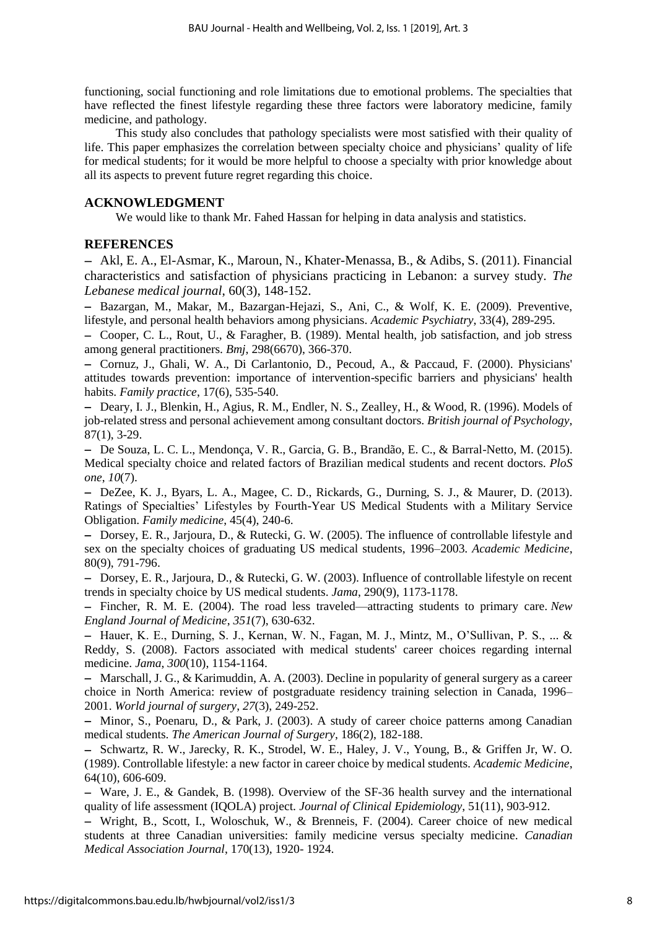functioning, social functioning and role limitations due to emotional problems. The specialties that have reflected the finest lifestyle regarding these three factors were laboratory medicine, family medicine, and pathology.

This study also concludes that pathology specialists were most satisfied with their quality of life. This paper emphasizes the correlation between specialty choice and physicians' quality of life for medical students; for it would be more helpful to choose a specialty with prior knowledge about all its aspects to prevent future regret regarding this choice.

# **ACKNOWLEDGMENT**

We would like to thank Mr. Fahed Hassan for helping in data analysis and statistics.

# **REFERENCES**

 Akl, E. A., El-Asmar, K., Maroun, N., Khater-Menassa, B., & Adibs, S. (2011). Financial characteristics and satisfaction of physicians practicing in Lebanon: a survey study. *The Lebanese medical journal*, 60(3), 148-152.

 Bazargan, M., Makar, M., Bazargan-Hejazi, S., Ani, C., & Wolf, K. E. (2009). Preventive, lifestyle, and personal health behaviors among physicians. *Academic Psychiatry*, 33(4), 289-295.

- Cooper, C. L., Rout, U., & Faragher, B. (1989). Mental health, job satisfaction, and job stress among general practitioners. *Bmj*, 298(6670), 366-370.

- Cornuz, J., Ghali, W. A., Di Carlantonio, D., Pecoud, A., & Paccaud, F. (2000). Physicians' attitudes towards prevention: importance of intervention-specific barriers and physicians' health habits. *Family practice*, 17(6), 535-540.

- Deary, I. J., Blenkin, H., Agius, R. M., Endler, N. S., Zealley, H., & Wood, R. (1996). Models of job-related stress and personal achievement among consultant doctors. *British journal of Psychology*, 87(1), 3-29.

 De Souza, L. C. L., Mendonça, V. R., Garcia, G. B., Brandão, E. C., & Barral-Netto, M. (2015). Medical specialty choice and related factors of Brazilian medical students and recent doctors. *PloS one*, *10*(7).

- DeZee, K. J., Byars, L. A., Magee, C. D., Rickards, G., Durning, S. J., & Maurer, D. (2013). Ratings of Specialties' Lifestyles by Fourth-Year US Medical Students with a Military Service Obligation. *Family medicine*, 45(4), 240-6.

- Dorsey, E. R., Jarjoura, D., & Rutecki, G. W. (2005). The influence of controllable lifestyle and sex on the specialty choices of graduating US medical students, 1996–2003. *Academic Medicine*, 80(9), 791-796.

- Dorsey, E. R., Jarjoura, D., & Rutecki, G. W. (2003). Influence of controllable lifestyle on recent trends in specialty choice by US medical students. *Jama*, 290(9), 1173-1178.

 Fincher, R. M. E. (2004). The road less traveled—attracting students to primary care. *New England Journal of Medicine*, *351*(7), 630-632.

- Hauer, K. E., Durning, S. J., Kernan, W. N., Fagan, M. J., Mintz, M., O'Sullivan, P. S., ... & Reddy, S. (2008). Factors associated with medical students' career choices regarding internal medicine. *Jama*, *300*(10), 1154-1164.

- Marschall, J. G., & Karimuddin, A. A. (2003). Decline in popularity of general surgery as a career choice in North America: review of postgraduate residency training selection in Canada, 1996– 2001. *World journal of surgery*, *27*(3), 249-252.

 Minor, S., Poenaru, D., & Park, J. (2003). A study of career choice patterns among Canadian medical students. *The American Journal of Surgery*, 186(2), 182-188.

- Schwartz, R. W., Jarecky, R. K., Strodel, W. E., Haley, J. V., Young, B., & Griffen Jr, W. O. (1989). Controllable lifestyle: a new factor in career choice by medical students. *Academic Medicine*, 64(10), 606-609.

 Ware, J. E., & Gandek, B. (1998). Overview of the SF-36 health survey and the international quality of life assessment (IQOLA) project. *Journal of Clinical Epidemiology*, 51(11), 903-912.

 Wright, B., Scott, I., Woloschuk, W., & Brenneis, F. (2004). Career choice of new medical students at three Canadian universities: family medicine versus specialty medicine. *Canadian Medical Association Journal*, 170(13), 1920- 1924.